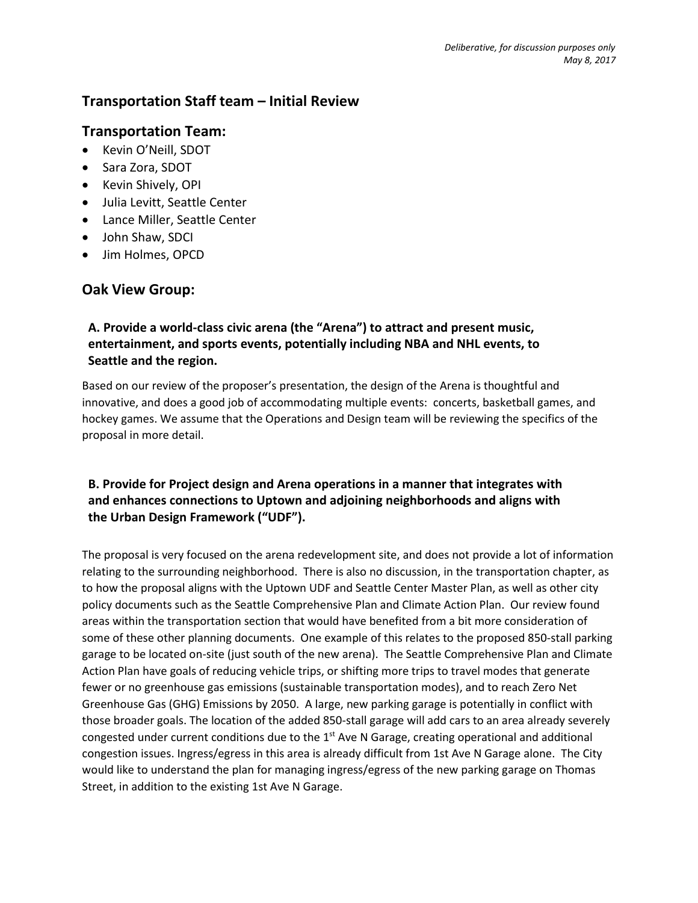# **Transportation Staff team – Initial Review**

## **Transportation Team:**

- Kevin O'Neill, SDOT
- Sara Zora, SDOT
- Kevin Shively, OPI
- Julia Levitt, Seattle Center
- Lance Miller, Seattle Center
- John Shaw, SDCI
- Jim Holmes, OPCD

# **Oak View Group:**

### **A. Provide a world-class civic arena (the "Arena") to attract and present music, entertainment, and sports events, potentially including NBA and NHL events, to Seattle and the region.**

Based on our review of the proposer's presentation, the design of the Arena is thoughtful and innovative, and does a good job of accommodating multiple events: concerts, basketball games, and hockey games. We assume that the Operations and Design team will be reviewing the specifics of the proposal in more detail.

## **B. Provide for Project design and Arena operations in a manner that integrates with and enhances connections to Uptown and adjoining neighborhoods and aligns with the Urban Design Framework ("UDF").**

The proposal is very focused on the arena redevelopment site, and does not provide a lot of information relating to the surrounding neighborhood. There is also no discussion, in the transportation chapter, as to how the proposal aligns with the Uptown UDF and Seattle Center Master Plan, as well as other city policy documents such as the Seattle Comprehensive Plan and Climate Action Plan. Our review found areas within the transportation section that would have benefited from a bit more consideration of some of these other planning documents. One example of this relates to the proposed 850-stall parking garage to be located on-site (just south of the new arena). The Seattle Comprehensive Plan and Climate Action Plan have goals of reducing vehicle trips, or shifting more trips to travel modes that generate fewer or no greenhouse gas emissions (sustainable transportation modes), and to reach Zero Net Greenhouse Gas (GHG) Emissions by 2050. A large, new parking garage is potentially in conflict with those broader goals. The location of the added 850-stall garage will add cars to an area already severely congested under current conditions due to the  $1<sup>st</sup>$  Ave N Garage, creating operational and additional congestion issues. Ingress/egress in this area is already difficult from 1st Ave N Garage alone. The City would like to understand the plan for managing ingress/egress of the new parking garage on Thomas Street, in addition to the existing 1st Ave N Garage.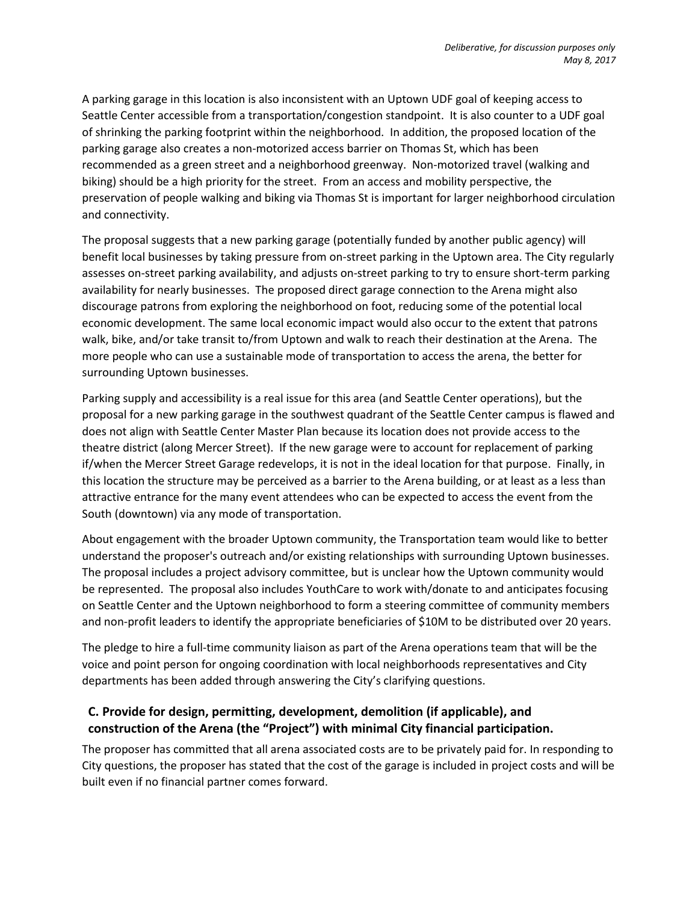A parking garage in this location is also inconsistent with an Uptown UDF goal of keeping access to Seattle Center accessible from a transportation/congestion standpoint. It is also counter to a UDF goal of shrinking the parking footprint within the neighborhood. In addition, the proposed location of the parking garage also creates a non-motorized access barrier on Thomas St, which has been recommended as a green street and a neighborhood greenway. Non-motorized travel (walking and biking) should be a high priority for the street. From an access and mobility perspective, the preservation of people walking and biking via Thomas St is important for larger neighborhood circulation and connectivity.

The proposal suggests that a new parking garage (potentially funded by another public agency) will benefit local businesses by taking pressure from on-street parking in the Uptown area. The City regularly assesses on-street parking availability, and adjusts on-street parking to try to ensure short-term parking availability for nearly businesses. The proposed direct garage connection to the Arena might also discourage patrons from exploring the neighborhood on foot, reducing some of the potential local economic development. The same local economic impact would also occur to the extent that patrons walk, bike, and/or take transit to/from Uptown and walk to reach their destination at the Arena. The more people who can use a sustainable mode of transportation to access the arena, the better for surrounding Uptown businesses.

Parking supply and accessibility is a real issue for this area (and Seattle Center operations), but the proposal for a new parking garage in the southwest quadrant of the Seattle Center campus is flawed and does not align with Seattle Center Master Plan because its location does not provide access to the theatre district (along Mercer Street). If the new garage were to account for replacement of parking if/when the Mercer Street Garage redevelops, it is not in the ideal location for that purpose. Finally, in this location the structure may be perceived as a barrier to the Arena building, or at least as a less than attractive entrance for the many event attendees who can be expected to access the event from the South (downtown) via any mode of transportation.

About engagement with the broader Uptown community, the Transportation team would like to better understand the proposer's outreach and/or existing relationships with surrounding Uptown businesses. The proposal includes a project advisory committee, but is unclear how the Uptown community would be represented. The proposal also includes YouthCare to work with/donate to and anticipates focusing on Seattle Center and the Uptown neighborhood to form a steering committee of community members and non-profit leaders to identify the appropriate beneficiaries of \$10M to be distributed over 20 years.

The pledge to hire a full-time community liaison as part of the Arena operations team that will be the voice and point person for ongoing coordination with local neighborhoods representatives and City departments has been added through answering the City's clarifying questions.

#### **C. Provide for design, permitting, development, demolition (if applicable), and construction of the Arena (the "Project") with minimal City financial participation.**

The proposer has committed that all arena associated costs are to be privately paid for. In responding to City questions, the proposer has stated that the cost of the garage is included in project costs and will be built even if no financial partner comes forward.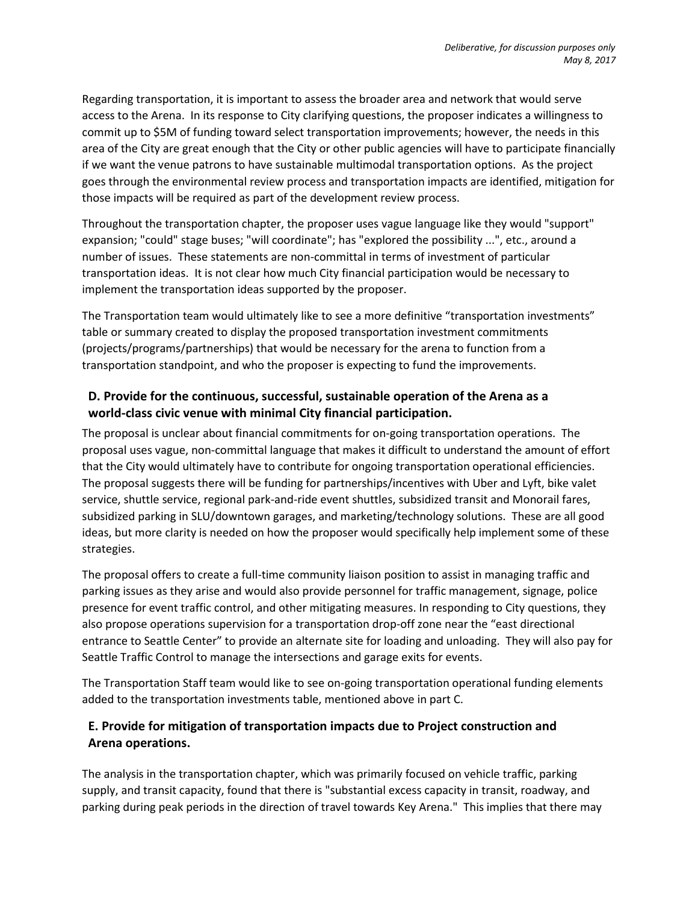Regarding transportation, it is important to assess the broader area and network that would serve access to the Arena. In its response to City clarifying questions, the proposer indicates a willingness to commit up to \$5M of funding toward select transportation improvements; however, the needs in this area of the City are great enough that the City or other public agencies will have to participate financially if we want the venue patrons to have sustainable multimodal transportation options. As the project goes through the environmental review process and transportation impacts are identified, mitigation for those impacts will be required as part of the development review process.

Throughout the transportation chapter, the proposer uses vague language like they would "support" expansion; "could" stage buses; "will coordinate"; has "explored the possibility ...", etc., around a number of issues. These statements are non-committal in terms of investment of particular transportation ideas. It is not clear how much City financial participation would be necessary to implement the transportation ideas supported by the proposer.

The Transportation team would ultimately like to see a more definitive "transportation investments" table or summary created to display the proposed transportation investment commitments (projects/programs/partnerships) that would be necessary for the arena to function from a transportation standpoint, and who the proposer is expecting to fund the improvements.

### **D. Provide for the continuous, successful, sustainable operation of the Arena as a world-class civic venue with minimal City financial participation.**

The proposal is unclear about financial commitments for on-going transportation operations. The proposal uses vague, non-committal language that makes it difficult to understand the amount of effort that the City would ultimately have to contribute for ongoing transportation operational efficiencies. The proposal suggests there will be funding for partnerships/incentives with Uber and Lyft, bike valet service, shuttle service, regional park-and-ride event shuttles, subsidized transit and Monorail fares, subsidized parking in SLU/downtown garages, and marketing/technology solutions. These are all good ideas, but more clarity is needed on how the proposer would specifically help implement some of these strategies.

The proposal offers to create a full-time community liaison position to assist in managing traffic and parking issues as they arise and would also provide personnel for traffic management, signage, police presence for event traffic control, and other mitigating measures. In responding to City questions, they also propose operations supervision for a transportation drop-off zone near the "east directional entrance to Seattle Center" to provide an alternate site for loading and unloading. They will also pay for Seattle Traffic Control to manage the intersections and garage exits for events.

The Transportation Staff team would like to see on-going transportation operational funding elements added to the transportation investments table, mentioned above in part C.

### **E. Provide for mitigation of transportation impacts due to Project construction and Arena operations.**

The analysis in the transportation chapter, which was primarily focused on vehicle traffic, parking supply, and transit capacity, found that there is "substantial excess capacity in transit, roadway, and parking during peak periods in the direction of travel towards Key Arena." This implies that there may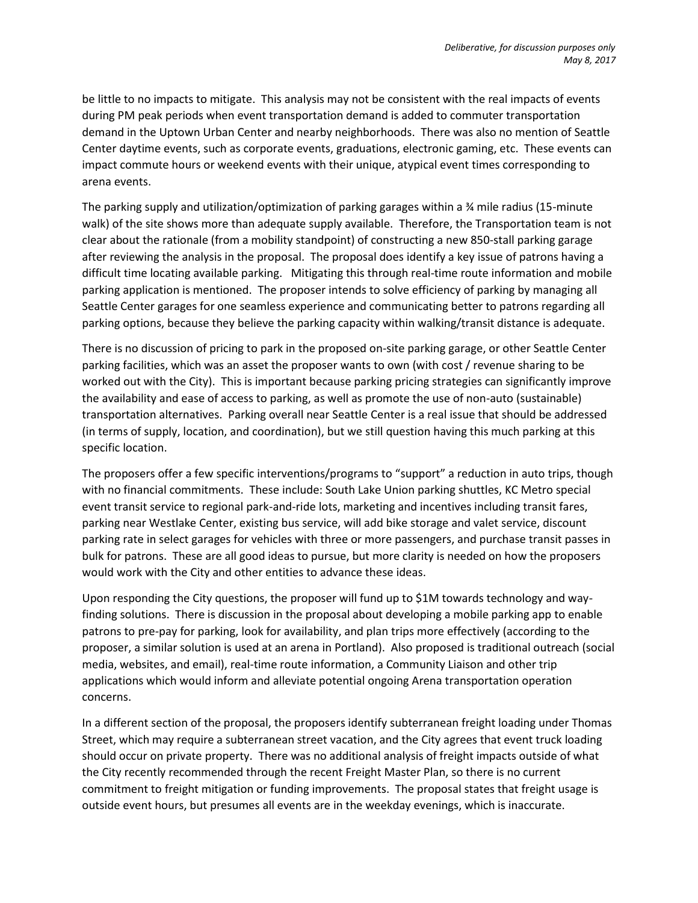be little to no impacts to mitigate. This analysis may not be consistent with the real impacts of events during PM peak periods when event transportation demand is added to commuter transportation demand in the Uptown Urban Center and nearby neighborhoods. There was also no mention of Seattle Center daytime events, such as corporate events, graduations, electronic gaming, etc. These events can impact commute hours or weekend events with their unique, atypical event times corresponding to arena events.

The parking supply and utilization/optimization of parking garages within a ¾ mile radius (15-minute walk) of the site shows more than adequate supply available. Therefore, the Transportation team is not clear about the rationale (from a mobility standpoint) of constructing a new 850-stall parking garage after reviewing the analysis in the proposal. The proposal does identify a key issue of patrons having a difficult time locating available parking. Mitigating this through real-time route information and mobile parking application is mentioned. The proposer intends to solve efficiency of parking by managing all Seattle Center garages for one seamless experience and communicating better to patrons regarding all parking options, because they believe the parking capacity within walking/transit distance is adequate.

There is no discussion of pricing to park in the proposed on-site parking garage, or other Seattle Center parking facilities, which was an asset the proposer wants to own (with cost / revenue sharing to be worked out with the City). This is important because parking pricing strategies can significantly improve the availability and ease of access to parking, as well as promote the use of non-auto (sustainable) transportation alternatives. Parking overall near Seattle Center is a real issue that should be addressed (in terms of supply, location, and coordination), but we still question having this much parking at this specific location.

The proposers offer a few specific interventions/programs to "support" a reduction in auto trips, though with no financial commitments. These include: South Lake Union parking shuttles, KC Metro special event transit service to regional park-and-ride lots, marketing and incentives including transit fares, parking near Westlake Center, existing bus service, will add bike storage and valet service, discount parking rate in select garages for vehicles with three or more passengers, and purchase transit passes in bulk for patrons. These are all good ideas to pursue, but more clarity is needed on how the proposers would work with the City and other entities to advance these ideas.

Upon responding the City questions, the proposer will fund up to \$1M towards technology and wayfinding solutions. There is discussion in the proposal about developing a mobile parking app to enable patrons to pre-pay for parking, look for availability, and plan trips more effectively (according to the proposer, a similar solution is used at an arena in Portland). Also proposed is traditional outreach (social media, websites, and email), real-time route information, a Community Liaison and other trip applications which would inform and alleviate potential ongoing Arena transportation operation concerns.

In a different section of the proposal, the proposers identify subterranean freight loading under Thomas Street, which may require a subterranean street vacation, and the City agrees that event truck loading should occur on private property. There was no additional analysis of freight impacts outside of what the City recently recommended through the recent Freight Master Plan, so there is no current commitment to freight mitigation or funding improvements. The proposal states that freight usage is outside event hours, but presumes all events are in the weekday evenings, which is inaccurate.